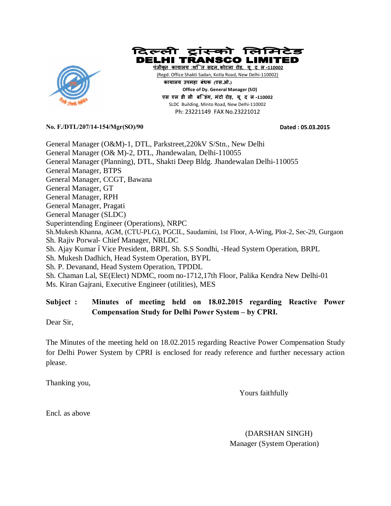



**पंजीकृत काया लय :शि त सदन, कोटला रोड़, यू द ल-110002** (Regd. Office Shakti Sadan, Kotla Road, New Delhi-110002)  **काया लय उपमहा बंधक (एस.ओ.) Office of Dy. General Manager (SO) एस एल डी सी बि डंग, मंटो रोड़, यू द ल-110002**  SLDC Building, Minto Road, New Delhi-110002 Ph: 23221149 FAX No.23221012

**No. F./DTL/207/14-154/Mgr(SO)/90 Dated : 05.03.2015** 

General Manager (O&M)-1, DTL, Parkstreet,220kV S/Stn., New Delhi General Manager (O& M)-2, DTL, Jhandewalan, Delhi-110055 General Manager (Planning), DTL, Shakti Deep Bldg. Jhandewalan Delhi-110055 General Manager, BTPS General Manager, CCGT, Bawana General Manager, GT General Manager, RPH General Manager, Pragati General Manager (SLDC) Superintending Engineer (Operations), NRPC Sh.Mukesh Khanna, AGM, (CTU-PLG), PGCIL, Saudamini, 1st Floor, A-Wing, Plot-2, Sec-29, Gurgaon Sh. Rajiv Porwal- Chief Manager, NRLDC Sh. Ajay Kumar óVice President, BRPL Sh. S.S Sondhi, -Head System Operation, BRPL Sh. Mukesh Dadhich, Head System Operation, BYPL Sh. P. Devanand, Head System Operation, TPDDL Sh. Chaman Lal, SE(Elect) NDMC, room no-1712,17th Floor, Palika Kendra New Delhi-01 Ms. Kiran Gajrani, Executive Engineer (utilities), MES

## **Subject : Minutes of meeting held on 18.02.2015 regarding Reactive Power Compensation Study for Delhi Power System – by CPRI.**

Dear Sir,

The Minutes of the meeting held on 18.02.2015 regarding Reactive Power Compensation Study for Delhi Power System by CPRI is enclosed for ready reference and further necessary action please.

Thanking you,

Yours faithfully

Encl. as above

 (DARSHAN SINGH) Manager (System Operation)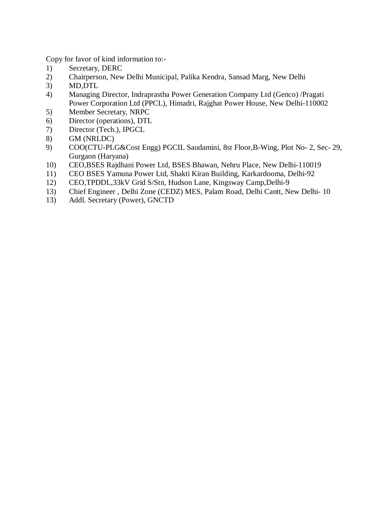Copy for favor of kind information to:-

- 1) Secretary, DERC
- 2) Chairperson, New Delhi Municipal, Palika Kendra, Sansad Marg, New Delhi
- 3) MD,DTL
- 4) Managing Director, Indraprastha Power Generation Company Ltd (Genco) /Pragati Power Corporation Ltd (PPCL), Himadri, Rajghat Power House, New Delhi-110002
- 5) Member Secretary, NRPC
- 6) Director (operations), DTL
- 7) Director (Tech.), IPGCL
- 8) GM (NRLDC)
- 9) COO(CTU-PLG&Cost Engg) PGCIL Saudamini, 8st Floor,B-Wing, Plot No- 2, Sec- 29, Gurgaon (Haryana)
- 10) CEO,BSES Rajdhani Power Ltd, BSES Bhawan, Nehru Place, New Delhi-110019
- 11) CEO BSES Yamuna Power Ltd, Shakti Kiran Building, Karkardooma, Delhi-92
- 12) CEO,TPDDL,33kV Grid S/Stn, Hudson Lane, Kingsway Camp,Delhi-9
- 13) Chief Engineer , Delhi Zone (CEDZ) MES, Palam Road, Delhi Cantt, New Delhi- 10
- 13) Addl. Secretary (Power), GNCTD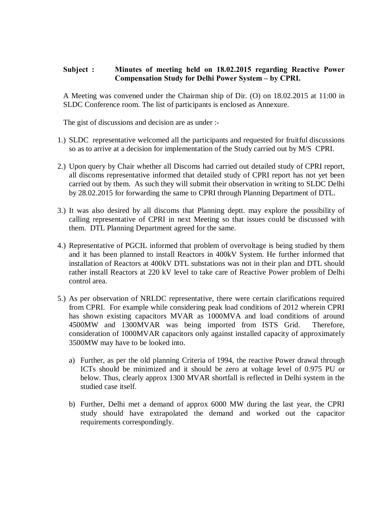## **Subject : Minutes of meeting held on 18.02.2015 regarding Reactive Power Compensation Study for Delhi Power System – by CPRI.**

A Meeting was convened under the Chairman ship of Dir. (O) on 18.02.2015 at 11:00 in SLDC Conference room. The list of participants is enclosed as Annexure.

The gist of discussions and decision are as under :-

- 1.) SLDC representative welcomed all the participants and requested for fruitful discussions so as to arrive at a decision for implementation of the Study carried out by M/S CPRI.
- 2.) Upon query by Chair whether all Discoms had carried out detailed study of CPRI report, all discoms representative informed that detailed study of CPRI report has not yet been carried out by them. As such they will submit their observation in writing to SLDC Delhi by 28.02.2015 for forwarding the same to CPRI through Planning Department of DTL.
- 3.) It was also desired by all discoms that Planning deptt. may explore the possibility of calling representative of CPRI in next Meeting so that issues could be discussed with them. DTL Planning Department agreed for the same.
- 4.) Representative of PGCIL informed that problem of overvoltage is being studied by them and it has been planned to install Reactors in 400kV System. He further informed that installation of Reactors at 400kV DTL substations was not in their plan and DTL should rather install Reactors at 220 kV level to take care of Reactive Power problem of Delhi control area.
- 5.) As per observation of NRLDC representative, there were certain clarifications required from CPRI. For example while considering peak load conditions of 2012 wherein CPRI has shown existing capacitors MVAR as 1000MVA and load conditions of around 4500MW and 1300MVAR was being imported from ISTS Grid. Therefore, consideration of 1000MVAR capacitors only against installed capacity of approximately 3500MW may have to be looked into.
	- a) Further, as per the old planning Criteria of 1994, the reactive Power drawal through ICTs should be minimized and it should be zero at voltage level of 0.975 PU or below. Thus, clearly approx 1300 MVAR shortfall is reflected in Delhi system in the studied case itself.
	- b) Further, Delhi met a demand of approx 6000 MW during the last year, the CPRI study should have extrapolated the demand and worked out the capacitor requirements correspondingly.